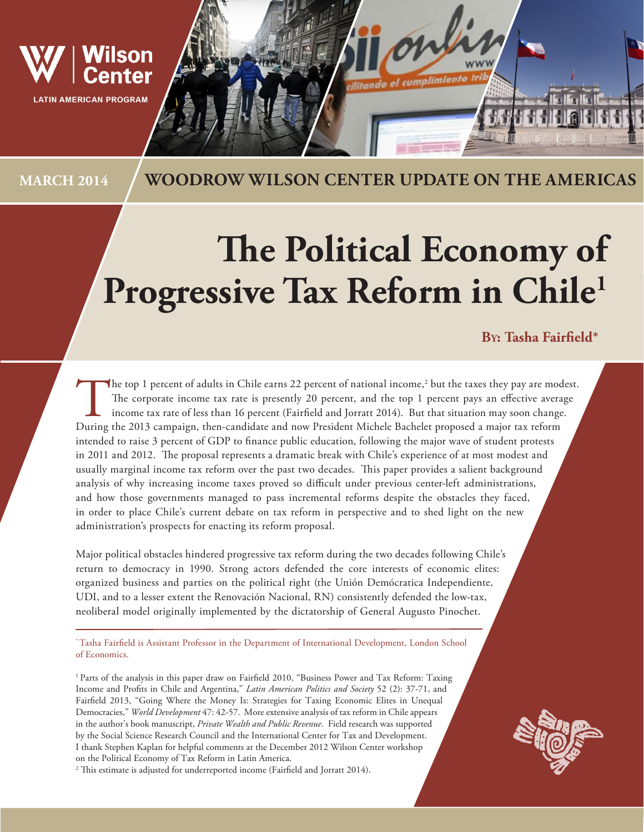

# **MARCH 2014 WOODROW WILSON CENTER UPDATE ON THE AMERICAS**

# **The Political Economy of**  Progressive Tax Reform in Chile<sup>1</sup>

## **By: Tasha Fairfield\***

The top 1 percent of adults in Chile earns 22 percent of national income,<sup>2</sup> but the taxes they pay are mod<br>The corporate income tax rate is presently 20 percent, and the top 1 percent pays an effective avera<br>income tax ra The top 1 percent of adults in Chile earns 22 percent of national income,<sup>2</sup> but the taxes they pay are modest. The corporate income tax rate is presently 20 percent, and the top 1 percent pays an effective average income tax rate of less than 16 percent (Fairfield and Jorratt 2014). But that situation may soon change. intended to raise 3 percent of GDP to finance public education, following the major wave of student protests in 2011 and 2012. The proposal represents a dramatic break with Chile's experience of at most modest and usually marginal income tax reform over the past two decades. This paper provides a salient background analysis of why increasing income taxes proved so difficult under previous center-left administrations, and how those governments managed to pass incremental reforms despite the obstacles they faced, in order to place Chile's current debate on tax reform in perspective and to shed light on the new administration's prospects for enacting its reform proposal.

Major political obstacles hindered progressive tax reform during the two decades following Chile's return to democracy in 1990. Strong actors defended the core interests of economic elites: organized business and parties on the political right (the Unión Demócratica Independiente, UDI, and to a lesser extent the Renovación Nacional, RN) consistently defended the low-tax, neoliberal model originally implemented by the dictatorship of General Augusto Pinochet.

\* Tasha Fairfield is Assistant Professor in the Department of International Development, London School of Economics.

<sup>1</sup> Parts of the analysis in this paper draw on Fairfield 2010, "Business Power and Tax Reform: Taxing Income and Profits in Chile and Argentina," *Latin American Politics and Society* 52 (2): 37-71, and Fairfield 2013, "Going Where the Money Is: Strategies for Taxing Economic Elites in Unequal Democracies," *World Development* 47: 42-57. More extensive analysis of tax reform in Chile appears in the author's book manuscript, *Private Wealth and Public Revenue*. Field research was supported by the Social Science Research Council and the International Center for Tax and Development. I thank Stephen Kaplan for helpful comments at the December 2012 Wilson Center workshop on the Political Economy of Tax Reform in Latin America.

 $^{\rm 2}$  This estimate is adjusted for underreported income (Fairfield and Jorratt 2014).

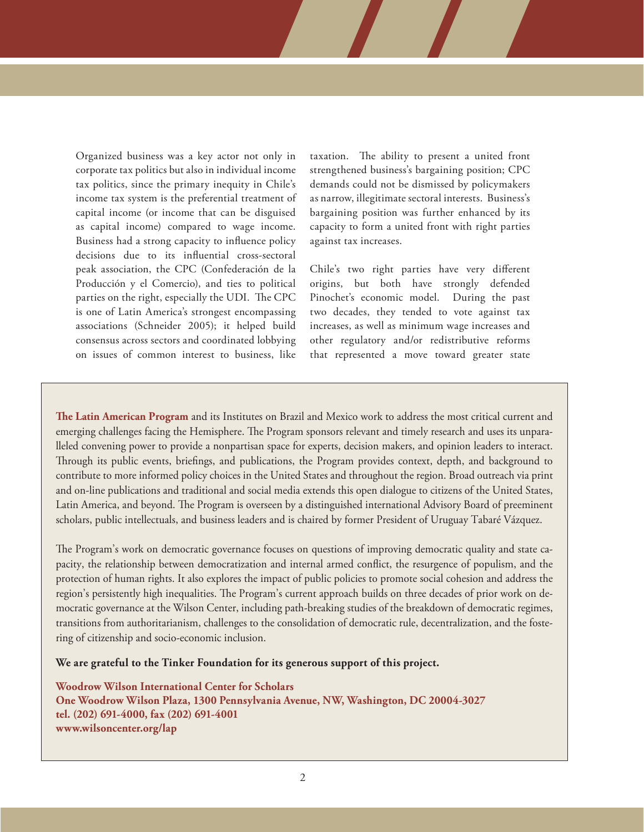Organized business was a key actor not only in corporate tax politics but also in individual income tax politics, since the primary inequity in Chile's income tax system is the preferential treatment of capital income (or income that can be disguised as capital income) compared to wage income. Business had a strong capacity to influence policy decisions due to its influential cross-sectoral peak association, the CPC (Confederación de la Producción y el Comercio), and ties to political parties on the right, especially the UDI. The CPC is one of Latin America's strongest encompassing associations (Schneider 2005); it helped build consensus across sectors and coordinated lobbying on issues of common interest to business, like taxation. The ability to present a united front strengthened business's bargaining position; CPC demands could not be dismissed by policymakers as narrow, illegitimate sectoral interests. Business's bargaining position was further enhanced by its capacity to form a united front with right parties against tax increases.

Chile's two right parties have very different origins, but both have strongly defended Pinochet's economic model. During the past two decades, they tended to vote against tax increases, as well as minimum wage increases and other regulatory and/or redistributive reforms that represented a move toward greater state

**The Latin American Program** and its Institutes on Brazil and Mexico work to address the most critical current and emerging challenges facing the Hemisphere. The Program sponsors relevant and timely research and uses its unparalleled convening power to provide a nonpartisan space for experts, decision makers, and opinion leaders to interact. Through its public events, briefings, and publications, the Program provides context, depth, and background to contribute to more informed policy choices in the United States and throughout the region. Broad outreach via print and on-line publications and traditional and social media extends this open dialogue to citizens of the United States, Latin America, and beyond. The Program is overseen by a distinguished international Advisory Board of preeminent scholars, public intellectuals, and business leaders and is chaired by former President of Uruguay Tabaré Vázquez.

The Program's work on democratic governance focuses on questions of improving democratic quality and state capacity, the relationship between democratization and internal armed conflict, the resurgence of populism, and the protection of human rights. It also explores the impact of public policies to promote social cohesion and address the region's persistently high inequalities. The Program's current approach builds on three decades of prior work on democratic governance at the Wilson Center, including path-breaking studies of the breakdown of democratic regimes, transitions from authoritarianism, challenges to the consolidation of democratic rule, decentralization, and the fostering of citizenship and socio-economic inclusion.

**We are grateful to the Tinker Foundation for its generous support of this project.** 

**Woodrow Wilson International Center for Scholars One Woodrow Wilson Plaza, 1300 Pennsylvania Avenue, NW, Washington, DC 20004-3027 tel. (202) 691-4000, fax (202) 691-4001 www.wilsoncenter.org/lap**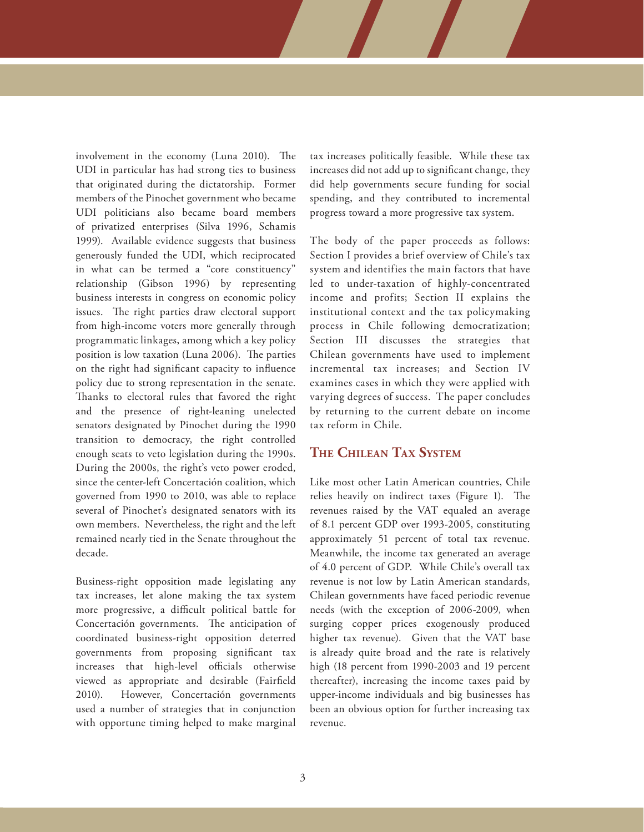involvement in the economy (Luna 2010). The UDI in particular has had strong ties to business that originated during the dictatorship. Former members of the Pinochet government who became UDI politicians also became board members of privatized enterprises (Silva 1996, Schamis 1999). Available evidence suggests that business generously funded the UDI, which reciprocated in what can be termed a "core constituency" relationship (Gibson 1996) by representing business interests in congress on economic policy issues. The right parties draw electoral support from high-income voters more generally through programmatic linkages, among which a key policy position is low taxation (Luna 2006). The parties on the right had significant capacity to influence policy due to strong representation in the senate. Thanks to electoral rules that favored the right and the presence of right-leaning unelected senators designated by Pinochet during the 1990 transition to democracy, the right controlled enough seats to veto legislation during the 1990s. During the 2000s, the right's veto power eroded, since the center-left Concertación coalition, which governed from 1990 to 2010, was able to replace several of Pinochet's designated senators with its own members. Nevertheless, the right and the left remained nearly tied in the Senate throughout the decade.

Business-right opposition made legislating any tax increases, let alone making the tax system more progressive, a difficult political battle for Concertación governments. The anticipation of coordinated business-right opposition deterred governments from proposing significant tax increases that high-level officials otherwise viewed as appropriate and desirable (Fairfield 2010). However, Concertación governments used a number of strategies that in conjunction with opportune timing helped to make marginal tax increases politically feasible. While these tax increases did not add up to significant change, they did help governments secure funding for social spending, and they contributed to incremental progress toward a more progressive tax system.

The body of the paper proceeds as follows: Section I provides a brief overview of Chile's tax system and identifies the main factors that have led to under-taxation of highly-concentrated income and profits; Section II explains the institutional context and the tax policymaking process in Chile following democratization; Section III discusses the strategies that Chilean governments have used to implement incremental tax increases; and Section IV examines cases in which they were applied with varying degrees of success. The paper concludes by returning to the current debate on income tax reform in Chile.

## **The Chilean Tax System**

Like most other Latin American countries, Chile relies heavily on indirect taxes (Figure 1). The revenues raised by the VAT equaled an average of 8.1 percent GDP over 1993-2005, constituting approximately 51 percent of total tax revenue. Meanwhile, the income tax generated an average of 4.0 percent of GDP. While Chile's overall tax revenue is not low by Latin American standards, Chilean governments have faced periodic revenue needs (with the exception of 2006-2009, when surging copper prices exogenously produced higher tax revenue). Given that the VAT base is already quite broad and the rate is relatively high (18 percent from 1990-2003 and 19 percent thereafter), increasing the income taxes paid by upper-income individuals and big businesses has been an obvious option for further increasing tax revenue.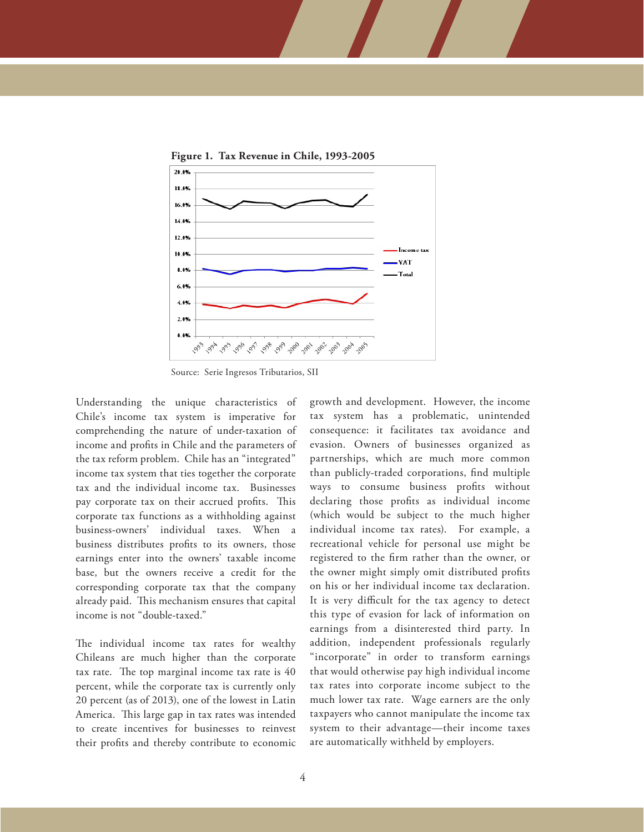

**Figure 1. Tax Revenue in Chile, 1993-2005**

Source: Serie Ingresos Tributarios, SII

Understanding the unique characteristics of Chile's income tax system is imperative for comprehending the nature of under-taxation of income and profits in Chile and the parameters of the tax reform problem. Chile has an "integrated" income tax system that ties together the corporate tax and the individual income tax. Businesses pay corporate tax on their accrued profits. This corporate tax functions as a withholding against business-owners' individual taxes. When a business distributes profits to its owners, those earnings enter into the owners' taxable income base, but the owners receive a credit for the corresponding corporate tax that the company already paid. This mechanism ensures that capital income is not "double-taxed."

The individual income tax rates for wealthy Chileans are much higher than the corporate tax rate. The top marginal income tax rate is 40 percent, while the corporate tax is currently only 20 percent (as of 2013), one of the lowest in Latin America. This large gap in tax rates was intended to create incentives for businesses to reinvest their profits and thereby contribute to economic growth and development. However, the income tax system has a problematic, unintended consequence: it facilitates tax avoidance and evasion. Owners of businesses organized as partnerships, which are much more common than publicly-traded corporations, find multiple ways to consume business profits without declaring those profits as individual income (which would be subject to the much higher individual income tax rates). For example, a recreational vehicle for personal use might be registered to the firm rather than the owner, or the owner might simply omit distributed profits on his or her individual income tax declaration. It is very difficult for the tax agency to detect this type of evasion for lack of information on earnings from a disinterested third party. In addition, independent professionals regularly "incorporate" in order to transform earnings that would otherwise pay high individual income tax rates into corporate income subject to the much lower tax rate. Wage earners are the only taxpayers who cannot manipulate the income tax system to their advantage—their income taxes are automatically withheld by employers.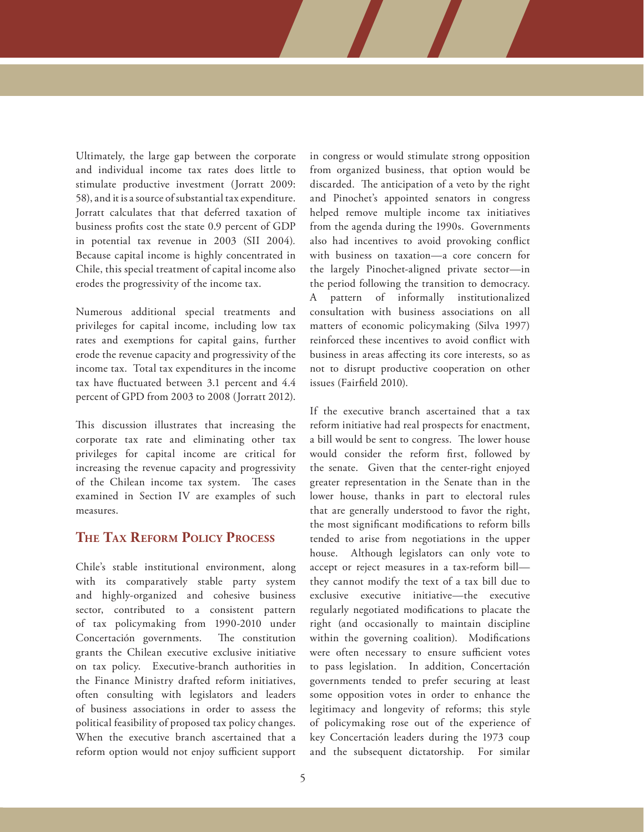Ultimately, the large gap between the corporate and individual income tax rates does little to stimulate productive investment (Jorratt 2009: 58), and it is a source of substantial tax expenditure. Jorratt calculates that that deferred taxation of business profits cost the state 0.9 percent of GDP in potential tax revenue in 2003 (SII 2004)*.* Because capital income is highly concentrated in Chile, this special treatment of capital income also erodes the progressivity of the income tax.

Numerous additional special treatments and privileges for capital income, including low tax rates and exemptions for capital gains, further erode the revenue capacity and progressivity of the income tax. Total tax expenditures in the income tax have fluctuated between 3.1 percent and 4.4 percent of GPD from 2003 to 2008 (Jorratt 2012).

This discussion illustrates that increasing the corporate tax rate and eliminating other tax privileges for capital income are critical for increasing the revenue capacity and progressivity of the Chilean income tax system. The cases examined in Section IV are examples of such measures.

## **The Tax Reform Policy Process**

Chile's stable institutional environment, along with its comparatively stable party system and highly-organized and cohesive business sector, contributed to a consistent pattern of tax policymaking from 1990-2010 under Concertación governments. The constitution grants the Chilean executive exclusive initiative on tax policy. Executive-branch authorities in the Finance Ministry drafted reform initiatives, often consulting with legislators and leaders of business associations in order to assess the political feasibility of proposed tax policy changes. When the executive branch ascertained that a reform option would not enjoy sufficient support in congress or would stimulate strong opposition from organized business, that option would be discarded. The anticipation of a veto by the right and Pinochet's appointed senators in congress helped remove multiple income tax initiatives from the agenda during the 1990s. Governments also had incentives to avoid provoking conflict with business on taxation—a core concern for the largely Pinochet-aligned private sector—in the period following the transition to democracy. A pattern of informally institutionalized consultation with business associations on all matters of economic policymaking (Silva 1997) reinforced these incentives to avoid conflict with business in areas affecting its core interests, so as not to disrupt productive cooperation on other issues (Fairfield 2010).

If the executive branch ascertained that a tax reform initiative had real prospects for enactment, a bill would be sent to congress. The lower house would consider the reform first, followed by the senate. Given that the center-right enjoyed greater representation in the Senate than in the lower house, thanks in part to electoral rules that are generally understood to favor the right, the most significant modifications to reform bills tended to arise from negotiations in the upper house. Although legislators can only vote to accept or reject measures in a tax-reform bill they cannot modify the text of a tax bill due to exclusive executive initiative—the executive regularly negotiated modifications to placate the right (and occasionally to maintain discipline within the governing coalition). Modifications were often necessary to ensure sufficient votes to pass legislation. In addition, Concertación governments tended to prefer securing at least some opposition votes in order to enhance the legitimacy and longevity of reforms; this style of policymaking rose out of the experience of key Concertación leaders during the 1973 coup and the subsequent dictatorship. For similar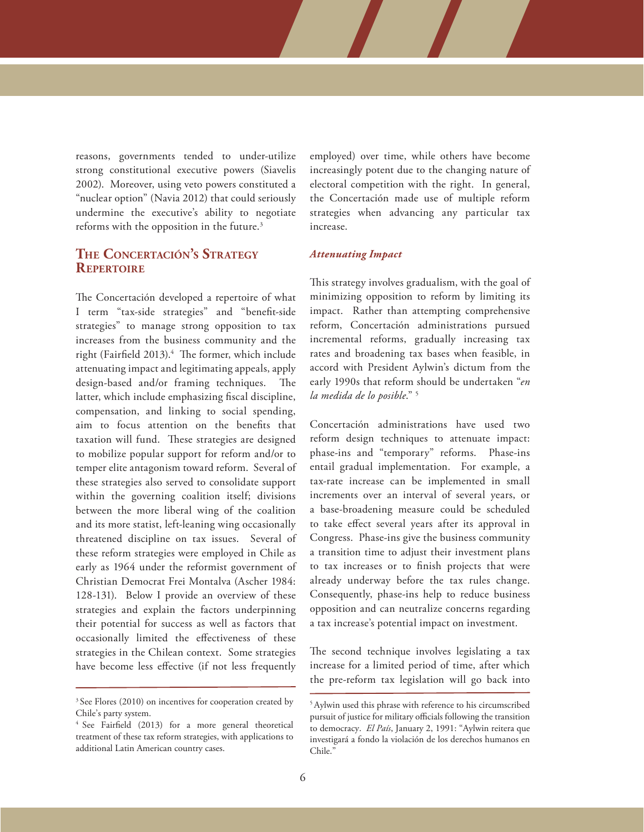reasons, governments tended to under-utilize strong constitutional executive powers (Siavelis 2002). Moreover, using veto powers constituted a "nuclear option" (Navia 2012) that could seriously undermine the executive's ability to negotiate reforms with the opposition in the future.3

## **The Concertación's Strategy Repertoire**

The Concertación developed a repertoire of what I term "tax-side strategies" and "benefit-side strategies" to manage strong opposition to tax increases from the business community and the right (Fairfield 2013).<sup>4</sup> The former, which include attenuating impact and legitimating appeals, apply design-based and/or framing techniques. The latter, which include emphasizing fiscal discipline, compensation, and linking to social spending, aim to focus attention on the benefits that taxation will fund. These strategies are designed to mobilize popular support for reform and/or to temper elite antagonism toward reform. Several of these strategies also served to consolidate support within the governing coalition itself; divisions between the more liberal wing of the coalition and its more statist, left-leaning wing occasionally threatened discipline on tax issues. Several of these reform strategies were employed in Chile as early as 1964 under the reformist government of Christian Democrat Frei Montalva (Ascher 1984: 128-131). Below I provide an overview of these strategies and explain the factors underpinning their potential for success as well as factors that occasionally limited the effectiveness of these strategies in the Chilean context. Some strategies have become less effective (if not less frequently

employed) over time, while others have become increasingly potent due to the changing nature of electoral competition with the right. In general, the Concertación made use of multiple reform strategies when advancing any particular tax increase.

#### *Attenuating Impact*

This strategy involves gradualism, with the goal of minimizing opposition to reform by limiting its impact. Rather than attempting comprehensive reform, Concertación administrations pursued incremental reforms, gradually increasing tax rates and broadening tax bases when feasible, in accord with President Aylwin's dictum from the early 1990s that reform should be undertaken "*en la medida de lo posible*." 5

Concertación administrations have used two reform design techniques to attenuate impact: phase-ins and "temporary" reforms. Phase-ins entail gradual implementation. For example, a tax-rate increase can be implemented in small increments over an interval of several years, or a base-broadening measure could be scheduled to take effect several years after its approval in Congress. Phase-ins give the business community a transition time to adjust their investment plans to tax increases or to finish projects that were already underway before the tax rules change. Consequently, phase-ins help to reduce business opposition and can neutralize concerns regarding a tax increase's potential impact on investment.

The second technique involves legislating a tax increase for a limited period of time, after which the pre-reform tax legislation will go back into

<sup>&</sup>lt;sup>3</sup> See Flores (2010) on incentives for cooperation created by Chile's party system.

<sup>4</sup> See Fairfield (2013) for a more general theoretical treatment of these tax reform strategies, with applications to additional Latin American country cases.

<sup>5</sup> Aylwin used this phrase with reference to his circumscribed pursuit of justice for military officials following the transition to democracy. *El País*, January 2, 1991: "Aylwin reitera que investigará a fondo la violación de los derechos humanos en Chile."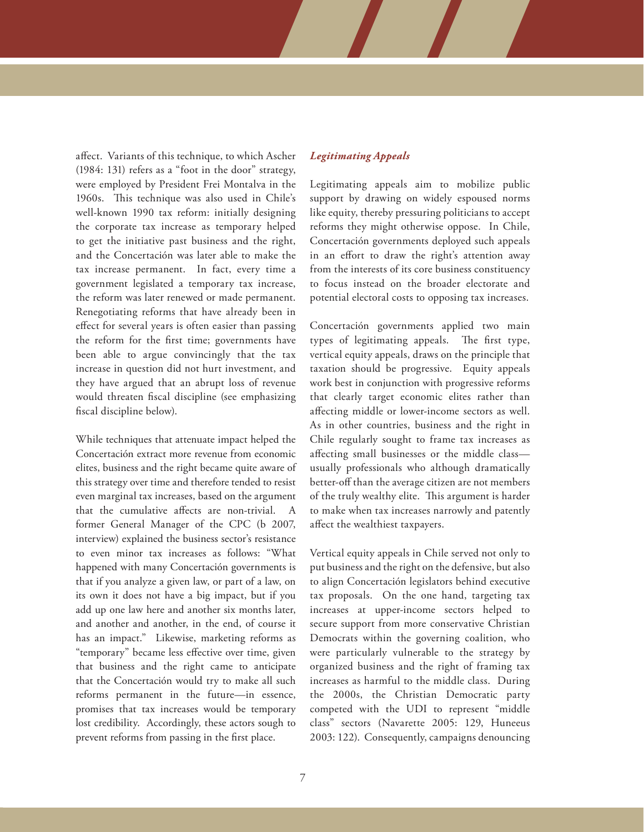affect. Variants of this technique, to which Ascher (1984: 131) refers as a "foot in the door" strategy, were employed by President Frei Montalva in the 1960s. This technique was also used in Chile's well-known 1990 tax reform: initially designing the corporate tax increase as temporary helped to get the initiative past business and the right, and the Concertación was later able to make the tax increase permanent. In fact, every time a government legislated a temporary tax increase, the reform was later renewed or made permanent. Renegotiating reforms that have already been in effect for several years is often easier than passing the reform for the first time; governments have been able to argue convincingly that the tax increase in question did not hurt investment, and they have argued that an abrupt loss of revenue would threaten fiscal discipline (see emphasizing fiscal discipline below).

While techniques that attenuate impact helped the Concertación extract more revenue from economic elites, business and the right became quite aware of this strategy over time and therefore tended to resist even marginal tax increases, based on the argument that the cumulative affects are non-trivial. former General Manager of the CPC (b 2007, interview) explained the business sector's resistance to even minor tax increases as follows: "What happened with many Concertación governments is that if you analyze a given law, or part of a law, on its own it does not have a big impact, but if you add up one law here and another six months later, and another and another, in the end, of course it has an impact." Likewise, marketing reforms as "temporary" became less effective over time, given that business and the right came to anticipate that the Concertación would try to make all such reforms permanent in the future—in essence, promises that tax increases would be temporary lost credibility. Accordingly, these actors sough to prevent reforms from passing in the first place.

## *Legitimating Appeals*

Legitimating appeals aim to mobilize public support by drawing on widely espoused norms like equity, thereby pressuring politicians to accept reforms they might otherwise oppose. In Chile, Concertación governments deployed such appeals in an effort to draw the right's attention away from the interests of its core business constituency to focus instead on the broader electorate and potential electoral costs to opposing tax increases.

Concertación governments applied two main types of legitimating appeals. The first type, vertical equity appeals, draws on the principle that taxation should be progressive. Equity appeals work best in conjunction with progressive reforms that clearly target economic elites rather than affecting middle or lower-income sectors as well. As in other countries, business and the right in Chile regularly sought to frame tax increases as affecting small businesses or the middle class usually professionals who although dramatically better-off than the average citizen are not members of the truly wealthy elite. This argument is harder to make when tax increases narrowly and patently affect the wealthiest taxpayers.

Vertical equity appeals in Chile served not only to put business and the right on the defensive, but also to align Concertación legislators behind executive tax proposals. On the one hand, targeting tax increases at upper-income sectors helped to secure support from more conservative Christian Democrats within the governing coalition, who were particularly vulnerable to the strategy by organized business and the right of framing tax increases as harmful to the middle class. During the 2000s, the Christian Democratic party competed with the UDI to represent "middle class" sectors (Navarette 2005: 129, Huneeus 2003: 122). Consequently, campaigns denouncing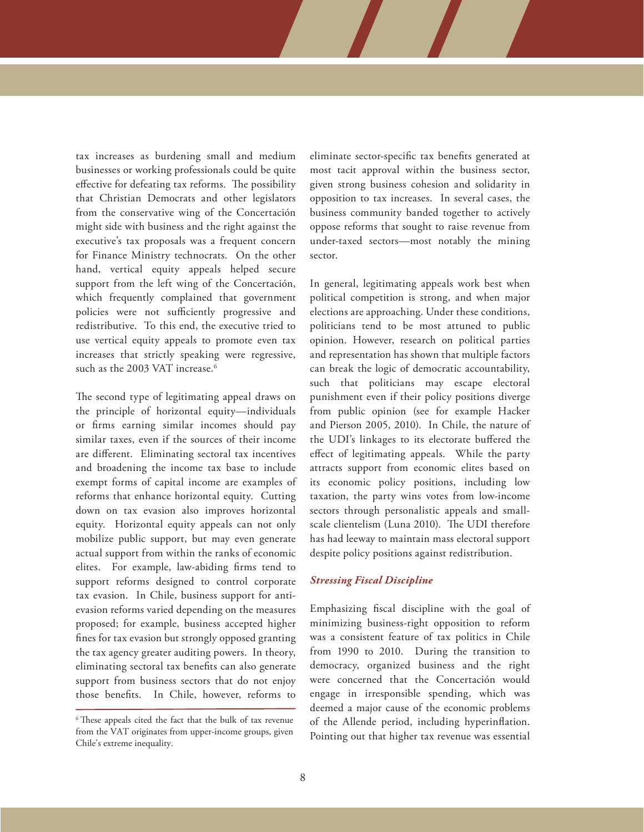tax increases as burdening small and medium businesses or working professionals could be quite effective for defeating tax reforms. The possibility that Christian Democrats and other legislators from the conservative wing of the Concertación might side with business and the right against the executive's tax proposals was a frequent concern for Finance Ministry technocrats. On the other hand, vertical equity appeals helped secure support from the left wing of the Concertación, which frequently complained that government policies were not sufficiently progressive and redistributive. To this end, the executive tried to use vertical equity appeals to promote even tax increases that strictly speaking were regressive, such as the 2003 VAT increase.<sup>6</sup>

The second type of legitimating appeal draws on the principle of horizontal equity—individuals or firms earning similar incomes should pay similar taxes, even if the sources of their income are different. Eliminating sectoral tax incentives and broadening the income tax base to include exempt forms of capital income are examples of reforms that enhance horizontal equity. Cutting down on tax evasion also improves horizontal equity. Horizontal equity appeals can not only mobilize public support, but may even generate actual support from within the ranks of economic elites. For example, law-abiding firms tend to support reforms designed to control corporate tax evasion. In Chile, business support for antievasion reforms varied depending on the measures proposed; for example, business accepted higher fines for tax evasion but strongly opposed granting the tax agency greater auditing powers. In theory, eliminating sectoral tax benefits can also generate support from business sectors that do not enjoy those benefits. In Chile, however, reforms to

eliminate sector-specific tax benefits generated at most tacit approval within the business sector, given strong business cohesion and solidarity in opposition to tax increases. In several cases, the business community banded together to actively oppose reforms that sought to raise revenue from under-taxed sectors—most notably the mining sector.

In general, legitimating appeals work best when political competition is strong, and when major elections are approaching. Under these conditions, politicians tend to be most attuned to public opinion. However, research on political parties and representation has shown that multiple factors can break the logic of democratic accountability, such that politicians may escape electoral punishment even if their policy positions diverge from public opinion (see for example Hacker and Pierson 2005, 2010). In Chile, the nature of the UDI's linkages to its electorate buffered the effect of legitimating appeals. While the party attracts support from economic elites based on its economic policy positions, including low taxation, the party wins votes from low-income sectors through personalistic appeals and smallscale clientelism (Luna 2010). The UDI therefore has had leeway to maintain mass electoral support despite policy positions against redistribution.

#### *Stressing Fiscal Discipline*

Emphasizing fiscal discipline with the goal of minimizing business-right opposition to reform was a consistent feature of tax politics in Chile from 1990 to 2010. During the transition to democracy, organized business and the right were concerned that the Concertación would engage in irresponsible spending, which was deemed a major cause of the economic problems of the Allende period, including hyperinflation. Pointing out that higher tax revenue was essential

<sup>6</sup> These appeals cited the fact that the bulk of tax revenue from the VAT originates from upper-income groups, given Chile's extreme inequality.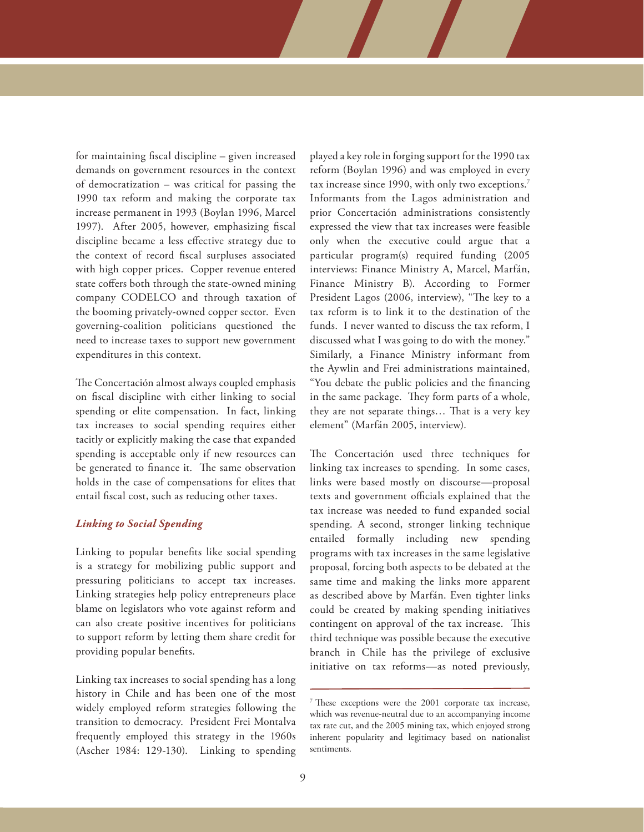for maintaining fiscal discipline – given increased demands on government resources in the context of democratization – was critical for passing the 1990 tax reform and making the corporate tax increase permanent in 1993 (Boylan 1996, Marcel 1997). After 2005, however, emphasizing fiscal discipline became a less effective strategy due to the context of record fiscal surpluses associated with high copper prices. Copper revenue entered state coffers both through the state-owned mining company CODELCO and through taxation of the booming privately-owned copper sector. Even governing-coalition politicians questioned the need to increase taxes to support new government expenditures in this context.

The Concertación almost always coupled emphasis on fiscal discipline with either linking to social spending or elite compensation. In fact, linking tax increases to social spending requires either tacitly or explicitly making the case that expanded spending is acceptable only if new resources can be generated to finance it. The same observation holds in the case of compensations for elites that entail fiscal cost, such as reducing other taxes.

#### *Linking to Social Spending*

Linking to popular benefits like social spending is a strategy for mobilizing public support and pressuring politicians to accept tax increases. Linking strategies help policy entrepreneurs place blame on legislators who vote against reform and can also create positive incentives for politicians to support reform by letting them share credit for providing popular benefits.

Linking tax increases to social spending has a long history in Chile and has been one of the most widely employed reform strategies following the transition to democracy. President Frei Montalva frequently employed this strategy in the 1960s (Ascher 1984: 129-130). Linking to spending

played a key role in forging support for the 1990 tax reform (Boylan 1996) and was employed in every tax increase since 1990, with only two exceptions.<sup>7</sup> Informants from the Lagos administration and prior Concertación administrations consistently expressed the view that tax increases were feasible only when the executive could argue that a particular program(s) required funding (2005 interviews: Finance Ministry A, Marcel, Marfán, Finance Ministry B). According to Former President Lagos (2006, interview), "The key to a tax reform is to link it to the destination of the funds. I never wanted to discuss the tax reform, I discussed what I was going to do with the money." Similarly, a Finance Ministry informant from the Aywlin and Frei administrations maintained, "You debate the public policies and the financing in the same package. They form parts of a whole, they are not separate things… That is a very key element" (Marfán 2005, interview).

The Concertación used three techniques for linking tax increases to spending. In some cases, links were based mostly on discourse—proposal texts and government officials explained that the tax increase was needed to fund expanded social spending. A second, stronger linking technique entailed formally including new spending programs with tax increases in the same legislative proposal, forcing both aspects to be debated at the same time and making the links more apparent as described above by Marfán. Even tighter links could be created by making spending initiatives contingent on approval of the tax increase. This third technique was possible because the executive branch in Chile has the privilege of exclusive initiative on tax reforms—as noted previously,

<sup>7</sup> These exceptions were the 2001 corporate tax increase, which was revenue-neutral due to an accompanying income tax rate cut, and the 2005 mining tax, which enjoyed strong inherent popularity and legitimacy based on nationalist sentiments.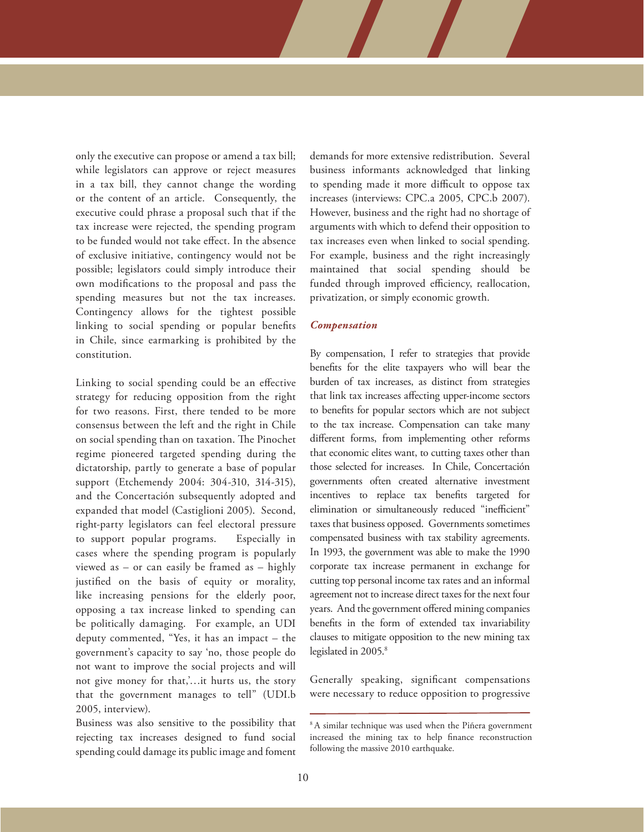only the executive can propose or amend a tax bill; while legislators can approve or reject measures in a tax bill, they cannot change the wording or the content of an article. Consequently, the executive could phrase a proposal such that if the tax increase were rejected, the spending program to be funded would not take effect. In the absence of exclusive initiative, contingency would not be possible; legislators could simply introduce their own modifications to the proposal and pass the spending measures but not the tax increases. Contingency allows for the tightest possible linking to social spending or popular benefits in Chile, since earmarking is prohibited by the constitution.

Linking to social spending could be an effective strategy for reducing opposition from the right for two reasons. First, there tended to be more consensus between the left and the right in Chile on social spending than on taxation. The Pinochet regime pioneered targeted spending during the dictatorship, partly to generate a base of popular support (Etchemendy 2004: 304-310, 314-315), and the Concertación subsequently adopted and expanded that model (Castiglioni 2005). Second, right-party legislators can feel electoral pressure to support popular programs. Especially in cases where the spending program is popularly viewed as – or can easily be framed as – highly justified on the basis of equity or morality, like increasing pensions for the elderly poor, opposing a tax increase linked to spending can be politically damaging. For example, an UDI deputy commented, "Yes, it has an impact – the government's capacity to say 'no, those people do not want to improve the social projects and will not give money for that,'…it hurts us, the story that the government manages to tell" (UDI.b 2005, interview).

Business was also sensitive to the possibility that rejecting tax increases designed to fund social spending could damage its public image and foment

demands for more extensive redistribution. Several business informants acknowledged that linking to spending made it more difficult to oppose tax increases (interviews: CPC.a 2005, CPC.b 2007). However, business and the right had no shortage of arguments with which to defend their opposition to tax increases even when linked to social spending. For example, business and the right increasingly maintained that social spending should be funded through improved efficiency, reallocation, privatization, or simply economic growth.

#### *Compensation*

By compensation, I refer to strategies that provide benefits for the elite taxpayers who will bear the burden of tax increases, as distinct from strategies that link tax increases affecting upper-income sectors to benefits for popular sectors which are not subject to the tax increase. Compensation can take many different forms, from implementing other reforms that economic elites want, to cutting taxes other than those selected for increases. In Chile, Concertación governments often created alternative investment incentives to replace tax benefits targeted for elimination or simultaneously reduced "inefficient" taxes that business opposed. Governments sometimes compensated business with tax stability agreements. In 1993, the government was able to make the 1990 corporate tax increase permanent in exchange for cutting top personal income tax rates and an informal agreement not to increase direct taxes for the next four years. And the government offered mining companies benefits in the form of extended tax invariability clauses to mitigate opposition to the new mining tax legislated in 2005.<sup>8</sup>

Generally speaking, significant compensations were necessary to reduce opposition to progressive

<sup>&</sup>lt;sup>8</sup> A similar technique was used when the Piñera government increased the mining tax to help finance reconstruction following the massive 2010 earthquake.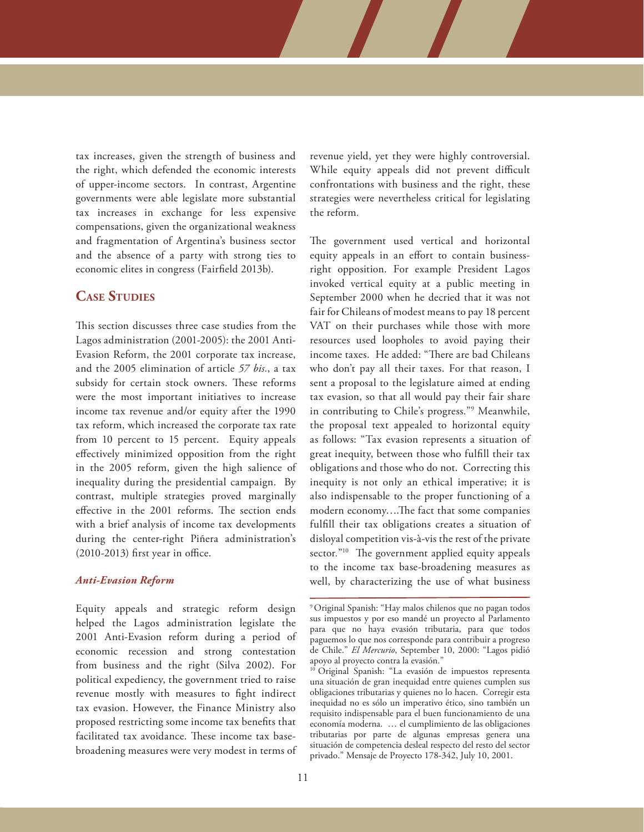tax increases, given the strength of business and the right, which defended the economic interests of upper-income sectors. In contrast, Argentine governments were able legislate more substantial tax increases in exchange for less expensive compensations, given the organizational weakness and fragmentation of Argentina's business sector and the absence of a party with strong ties to economic elites in congress (Fairfield 2013b).

## **Case Studies**

This section discusses three case studies from the Lagos administration (2001-2005): the 2001 Anti-Evasion Reform, the 2001 corporate tax increase, and the 2005 elimination of article *57 bis.*, a tax subsidy for certain stock owners. These reforms were the most important initiatives to increase income tax revenue and/or equity after the 1990 tax reform, which increased the corporate tax rate from 10 percent to 15 percent. Equity appeals effectively minimized opposition from the right in the 2005 reform, given the high salience of inequality during the presidential campaign. By contrast, multiple strategies proved marginally effective in the 2001 reforms. The section ends with a brief analysis of income tax developments during the center-right Piñera administration's (2010-2013) first year in office.

### *Anti-Evasion Reform*

Equity appeals and strategic reform design helped the Lagos administration legislate the 2001 Anti-Evasion reform during a period of economic recession and strong contestation from business and the right (Silva 2002). For political expediency, the government tried to raise revenue mostly with measures to fight indirect tax evasion. However, the Finance Ministry also proposed restricting some income tax benefits that facilitated tax avoidance. These income tax basebroadening measures were very modest in terms of

revenue yield, yet they were highly controversial. While equity appeals did not prevent difficult confrontations with business and the right, these strategies were nevertheless critical for legislating the reform*.* 

The government used vertical and horizontal equity appeals in an effort to contain businessright opposition. For example President Lagos invoked vertical equity at a public meeting in September 2000 when he decried that it was not fair for Chileans of modest means to pay 18 percent VAT on their purchases while those with more resources used loopholes to avoid paying their income taxes. He added: "There are bad Chileans who don't pay all their taxes. For that reason, I sent a proposal to the legislature aimed at ending tax evasion, so that all would pay their fair share in contributing to Chile's progress*.*"9 Meanwhile, the proposal text appealed to horizontal equity as follows: "Tax evasion represents a situation of great inequity, between those who fulfill their tax obligations and those who do not. Correcting this inequity is not only an ethical imperative; it is also indispensable to the proper functioning of a modern economy….The fact that some companies fulfill their tax obligations creates a situation of disloyal competition vis-à-vis the rest of the private sector."<sup>10</sup> The government applied equity appeals to the income tax base-broadening measures as well, by characterizing the use of what business

<sup>9</sup> Original Spanish: "Hay malos chilenos que no pagan todos sus impuestos y por eso mandé un proyecto al Parlamento para que no haya evasión tributaria, para que todos paguemos lo que nos corresponde para contribuir a progreso de Chile." *El Mercurio*, September 10, 2000: "Lagos pidió apoyo al proyecto contra la evasión."

<sup>&</sup>lt;sup>10</sup> Original Spanish: "La evasión de impuestos representa una situación de gran inequidad entre quienes cumplen sus obligaciones tributarias y quienes no lo hacen. Corregir esta inequidad no es sólo un imperativo ético, sino también un requisito indispensable para el buen funcionamiento de una economía moderna. … el cumplimiento de las obligaciones tributarias por parte de algunas empresas genera una situación de competencia desleal respecto del resto del sector privado." Mensaje de Proyecto 178-342, July 10, 2001.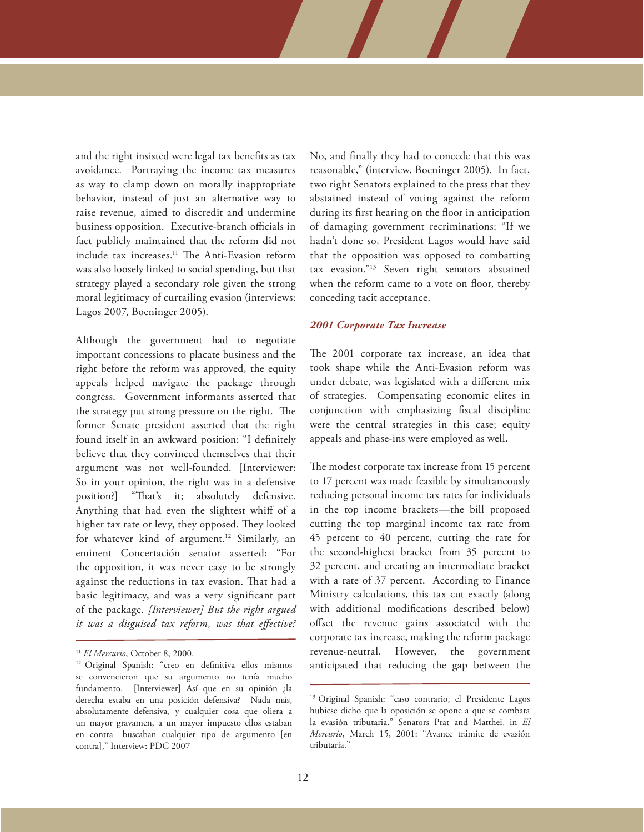and the right insisted were legal tax benefits as tax avoidance. Portraying the income tax measures as way to clamp down on morally inappropriate behavior, instead of just an alternative way to raise revenue, aimed to discredit and undermine business opposition. Executive-branch officials in fact publicly maintained that the reform did not include tax increases.11 The Anti-Evasion reform was also loosely linked to social spending, but that strategy played a secondary role given the strong moral legitimacy of curtailing evasion (interviews: Lagos 2007, Boeninger 2005).

Although the government had to negotiate important concessions to placate business and the right before the reform was approved, the equity appeals helped navigate the package through congress. Government informants asserted that the strategy put strong pressure on the right. The former Senate president asserted that the right found itself in an awkward position: "I definitely believe that they convinced themselves that their argument was not well-founded. [Interviewer: So in your opinion, the right was in a defensive position?] "That's it; absolutely defensive. Anything that had even the slightest whiff of a higher tax rate or levy, they opposed. They looked for whatever kind of argument.<sup>12</sup> Similarly, an eminent Concertación senator asserted: "For the opposition, it was never easy to be strongly against the reductions in tax evasion. That had a basic legitimacy, and was a very significant part of the package*. [Interviewer] But the right argued it was a disguised tax reform, was that effective?* No, and finally they had to concede that this was reasonable," (interview, Boeninger 2005). In fact, two right Senators explained to the press that they abstained instead of voting against the reform during its first hearing on the floor in anticipation of damaging government recriminations: "If we hadn't done so, President Lagos would have said that the opposition was opposed to combatting tax evasion."13 Seven right senators abstained when the reform came to a vote on floor, thereby conceding tacit acceptance.

#### *2001 Corporate Tax Increase*

The 2001 corporate tax increase, an idea that took shape while the Anti-Evasion reform was under debate, was legislated with a different mix of strategies. Compensating economic elites in conjunction with emphasizing fiscal discipline were the central strategies in this case; equity appeals and phase-ins were employed as well.

The modest corporate tax increase from 15 percent to 17 percent was made feasible by simultaneously reducing personal income tax rates for individuals in the top income brackets—the bill proposed cutting the top marginal income tax rate from 45 percent to 40 percent, cutting the rate for the second-highest bracket from 35 percent to 32 percent, and creating an intermediate bracket with a rate of 37 percent. According to Finance Ministry calculations, this tax cut exactly (along with additional modifications described below) offset the revenue gains associated with the corporate tax increase, making the reform package revenue-neutral. However, the government anticipated that reducing the gap between the

<sup>&</sup>lt;sup>11</sup> *El Mercurio*, October 8, 2000.<br><sup>12</sup> Original Spanish: "creo en definitiva ellos mismos se convencieron que su argumento no tenía mucho fundamento. [Interviewer] Así que en su opinión ¿la derecha estaba en una posición defensiva? Nada más, absolutamente defensiva, y cualquier cosa que oliera a un mayor gravamen, a un mayor impuesto ellos estaban en contra—buscaban cualquier tipo de argumento [en contra]," Interview: PDC 2007

<sup>13</sup> Original Spanish: "caso contrario, el Presidente Lagos hubiese dicho que la oposición se opone a que se combata la evasión tributaria." Senators Prat and Matthei, in *El Mercurio*, March 15, 2001: "Avance trámite de evasión tributaria."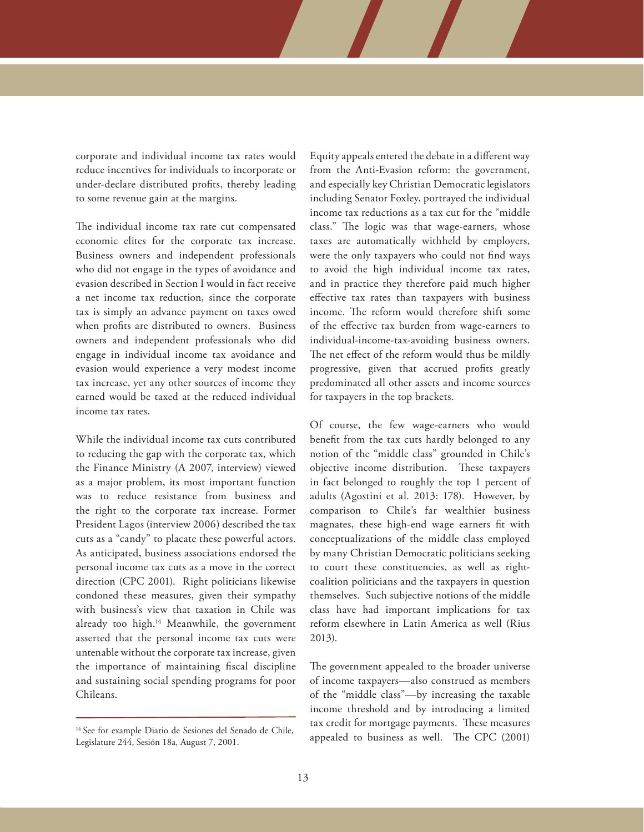corporate and individual income tax rates would reduce incentives for individuals to incorporate or under-declare distributed profits, thereby leading to some revenue gain at the margins.

The individual income tax rate cut compensated economic elites for the corporate tax increase. Business owners and independent professionals who did not engage in the types of avoidance and evasion described in Section I would in fact receive a net income tax reduction, since the corporate tax is simply an advance payment on taxes owed when profits are distributed to owners. Business owners and independent professionals who did engage in individual income tax avoidance and evasion would experience a very modest income tax increase, yet any other sources of income they earned would be taxed at the reduced individual income tax rates.

While the individual income tax cuts contributed to reducing the gap with the corporate tax, which the Finance Ministry (A 2007, interview) viewed as a major problem, its most important function was to reduce resistance from business and the right to the corporate tax increase. Former President Lagos (interview 2006) described the tax cuts as a "candy" to placate these powerful actors. As anticipated, business associations endorsed the personal income tax cuts as a move in the correct direction (CPC 2001). Right politicians likewise condoned these measures, given their sympathy with business's view that taxation in Chile was already too high.14 Meanwhile, the government asserted that the personal income tax cuts were untenable without the corporate tax increase, given the importance of maintaining fiscal discipline and sustaining social spending programs for poor Chileans.

Equity appeals entered the debate in a different way from the Anti-Evasion reform: the government, and especially key Christian Democratic legislators including Senator Foxley, portrayed the individual income tax reductions as a tax cut for the "middle class." The logic was that wage-earners, whose taxes are automatically withheld by employers, were the only taxpayers who could not find ways to avoid the high individual income tax rates, and in practice they therefore paid much higher effective tax rates than taxpayers with business income. The reform would therefore shift some of the effective tax burden from wage-earners to individual-income-tax-avoiding business owners. The net effect of the reform would thus be mildly progressive, given that accrued profits greatly predominated all other assets and income sources for taxpayers in the top brackets.

Of course, the few wage-earners who would benefit from the tax cuts hardly belonged to any notion of the "middle class" grounded in Chile's objective income distribution. These taxpayers in fact belonged to roughly the top 1 percent of adults (Agostini et al. 2013: 178). However, by comparison to Chile's far wealthier business magnates, these high-end wage earners fit with conceptualizations of the middle class employed by many Christian Democratic politicians seeking to court these constituencies, as well as rightcoalition politicians and the taxpayers in question themselves. Such subjective notions of the middle class have had important implications for tax reform elsewhere in Latin America as well (Rius 2013).

The government appealed to the broader universe of income taxpayers—also construed as members of the "middle class"—by increasing the taxable income threshold and by introducing a limited tax credit for mortgage payments. These measures <sup>14</sup> See for example Diario de Sesiones del Senado de Chile,<br> **14 See for example Diario de Sesión 18** Avenue 7, 2001

Legislature 244, Sesión 18a, August 7, 2001.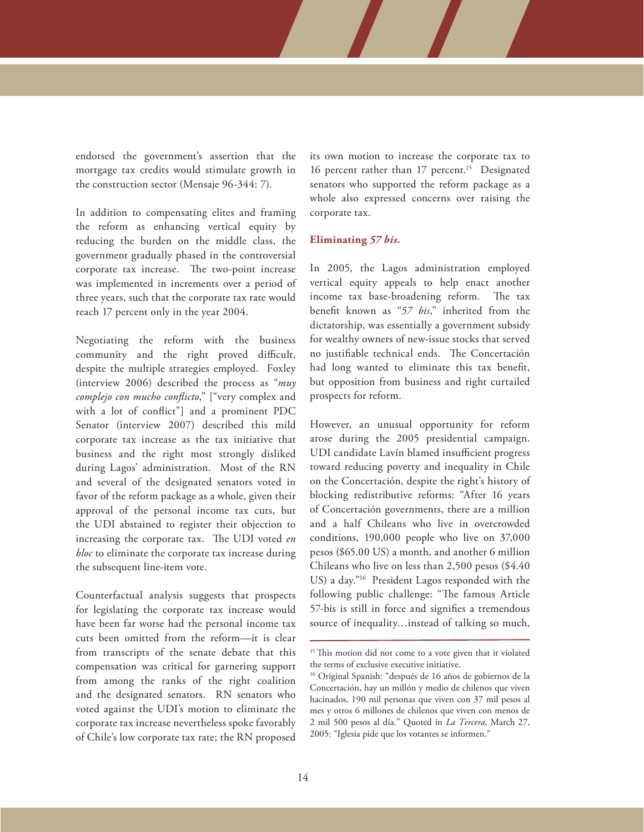endorsed the government's assertion that the mortgage tax credits would stimulate growth in the construction sector (Mensaje 96-344: 7).

In addition to compensating elites and framing the reform as enhancing vertical equity by reducing the burden on the middle class, the government gradually phased in the controversial corporate tax increase. The two-point increase was implemented in increments over a period of three years, such that the corporate tax rate would reach 17 percent only in the year 2004.

Negotiating the reform with the business community and the right proved difficult, despite the multiple strategies employed. Foxley (interview 2006) described the process as "*muy complejo con mucho conflicto*," ["very complex and with a lot of conflict"] and a prominent PDC Senator (interview 2007) described this mild corporate tax increase as the tax initiative that business and the right most strongly disliked during Lagos' administration. Most of the RN and several of the designated senators voted in favor of the reform package as a whole, given their approval of the personal income tax cuts, but the UDI abstained to register their objection to increasing the corporate tax. The UDI voted *en bloc* to eliminate the corporate tax increase during the subsequent line-item vote.

Counterfactual analysis suggests that prospects for legislating the corporate tax increase would have been far worse had the personal income tax cuts been omitted from the reform—it is clear from transcripts of the senate debate that this compensation was critical for garnering support from among the ranks of the right coalition and the designated senators. RN senators who voted against the UDI's motion to eliminate the corporate tax increase nevertheless spoke favorably of Chile's low corporate tax rate; the RN proposed

its own motion to increase the corporate tax to 16 percent rather than 17 percent.<sup>15</sup> Designated senators who supported the reform package as a whole also expressed concerns over raising the corporate tax.

#### **Eliminating** *57 bis.*

In 2005, the Lagos administration employed vertical equity appeals to help enact another income tax base-broadening reform. The tax benefit known as "*57 bis*," inherited from the dictatorship, was essentially a government subsidy for wealthy owners of new-issue stocks that served no justifiable technical ends. The Concertación had long wanted to eliminate this tax benefit, but opposition from business and right curtailed prospects for reform.

However, an unusual opportunity for reform arose during the 2005 presidential campaign. UDI candidate Lavín blamed insufficient progress toward reducing poverty and inequality in Chile on the Concertación, despite the right's history of blocking redistributive reforms: "After 16 years of Concertación governments, there are a million and a half Chileans who live in overcrowded conditions, 190,000 people who live on 37,000 pesos (\$65.00 US) a month, and another 6 million Chileans who live on less than 2,500 pesos (\$4.40 US) a day."16 President Lagos responded with the following public challenge: "The famous Article 57-bis is still in force and signifies a tremendous source of inequality…instead of talking so much,

<sup>&</sup>lt;sup>15</sup> This motion did not come to a vote given that it violated the terms of exclusive executive initiative.

<sup>&</sup>lt;sup>16</sup> Original Spanish: "después de 16 años de gobiernos de la Concertación, hay un millón y medio de chilenos que viven hacinados, 190 mil personas que viven con 37 mil pesos al mes y otros 6 millones de chilenos que viven con menos de 2 mil 500 pesos al día." Quoted in *La Tercera*, March 27, 2005: "Iglesia pide que los votantes se informen."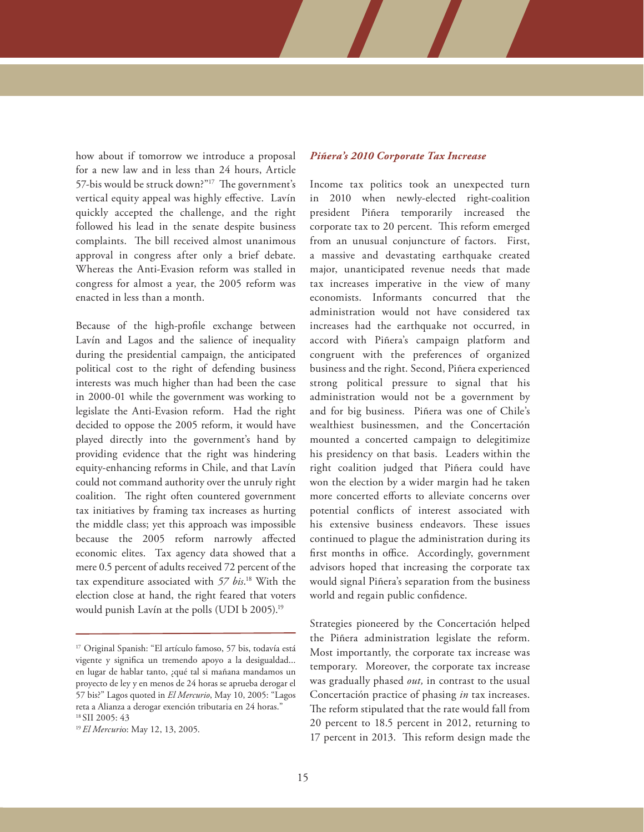how about if tomorrow we introduce a proposal for a new law and in less than 24 hours, Article 57-bis would be struck down?"17The government's vertical equity appeal was highly effective. Lavín quickly accepted the challenge, and the right followed his lead in the senate despite business complaints. The bill received almost unanimous approval in congress after only a brief debate. Whereas the Anti-Evasion reform was stalled in congress for almost a year, the 2005 reform was enacted in less than a month.

Because of the high-profile exchange between Lavín and Lagos and the salience of inequality during the presidential campaign, the anticipated political cost to the right of defending business interests was much higher than had been the case in 2000-01 while the government was working to legislate the Anti-Evasion reform. Had the right decided to oppose the 2005 reform, it would have played directly into the government's hand by providing evidence that the right was hindering equity-enhancing reforms in Chile, and that Lavín could not command authority over the unruly right coalition. The right often countered government tax initiatives by framing tax increases as hurting the middle class; yet this approach was impossible because the 2005 reform narrowly affected economic elites. Tax agency data showed that a mere 0.5 percent of adults received 72 percent of the tax expenditure associated with *57 bis*. 18 With the election close at hand, the right feared that voters would punish Lavín at the polls (UDI b 2005).19

#### *Piñera's 2010 Corporate Tax Increase*

Income tax politics took an unexpected turn in 2010 when newly-elected right-coalition president Piñera temporarily increased the corporate tax to 20 percent. This reform emerged from an unusual conjuncture of factors. First, a massive and devastating earthquake created major, unanticipated revenue needs that made tax increases imperative in the view of many economists. Informants concurred that the administration would not have considered tax increases had the earthquake not occurred, in accord with Piñera's campaign platform and congruent with the preferences of organized business and the right. Second, Piñera experienced strong political pressure to signal that his administration would not be a government by and for big business. Piñera was one of Chile's wealthiest businessmen, and the Concertación mounted a concerted campaign to delegitimize his presidency on that basis. Leaders within the right coalition judged that Piñera could have won the election by a wider margin had he taken more concerted efforts to alleviate concerns over potential conflicts of interest associated with his extensive business endeavors. These issues continued to plague the administration during its first months in office. Accordingly, government advisors hoped that increasing the corporate tax would signal Piñera's separation from the business world and regain public confidence.

Strategies pioneered by the Concertación helped the Piñera administration legislate the reform. Most importantly, the corporate tax increase was temporary. Moreover, the corporate tax increase was gradually phased *out,* in contrast to the usual Concertación practice of phasing *in* tax increases. The reform stipulated that the rate would fall from 20 percent to 18.5 percent in 2012, returning to 17 percent in 2013. This reform design made the

<sup>17</sup> Original Spanish: "El artículo famoso, 57 bis, todavía está vigente y significa un tremendo apoyo a la desigualdad... en lugar de hablar tanto, ¿qué tal si mañana mandamos un proyecto de ley y en menos de 24 horas se aprueba derogar el 57 bis?" Lagos quoted in *El Mercurio*, May 10, 2005: "Lagos reta a Alianza a derogar exención tributaria en 24 horas." 18 SII 2005: 43

<sup>19</sup> *El Mercuri*o: May 12, 13, 2005.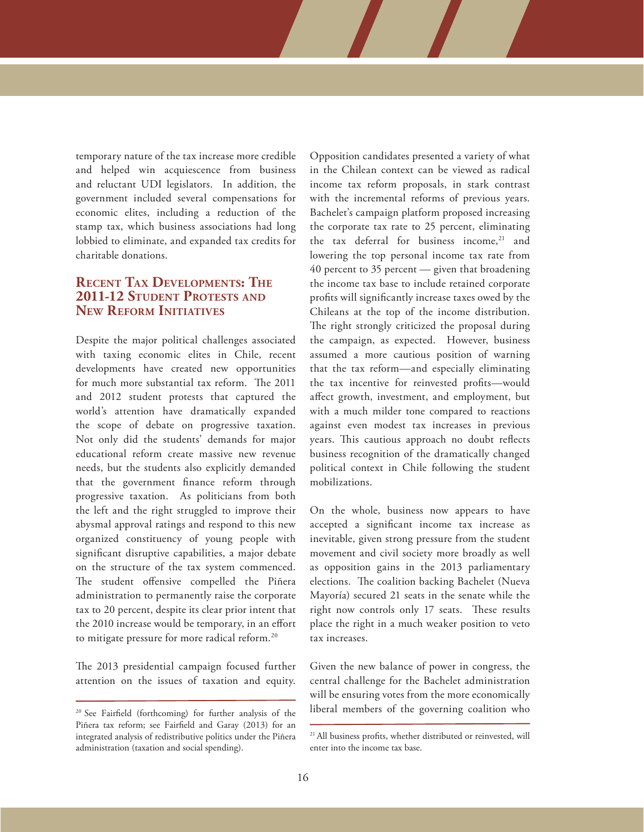temporary nature of the tax increase more credible and helped win acquiescence from business and reluctant UDI legislators. In addition, the government included several compensations for economic elites, including a reduction of the stamp tax, which business associations had long lobbied to eliminate, and expanded tax credits for charitable donations.

## **Recent Tax Developments: The 2011-12 Student Protests and New Reform Initiatives**

Despite the major political challenges associated with taxing economic elites in Chile, recent developments have created new opportunities for much more substantial tax reform. The 2011 and 2012 student protests that captured the world's attention have dramatically expanded the scope of debate on progressive taxation. Not only did the students' demands for major educational reform create massive new revenue needs, but the students also explicitly demanded that the government finance reform through progressive taxation. As politicians from both the left and the right struggled to improve their abysmal approval ratings and respond to this new organized constituency of young people with significant disruptive capabilities, a major debate on the structure of the tax system commenced. The student offensive compelled the Piñera administration to permanently raise the corporate tax to 20 percent, despite its clear prior intent that the 2010 increase would be temporary, in an effort to mitigate pressure for more radical reform.20

The 2013 presidential campaign focused further attention on the issues of taxation and equity. Opposition candidates presented a variety of what in the Chilean context can be viewed as radical income tax reform proposals, in stark contrast with the incremental reforms of previous years. Bachelet's campaign platform proposed increasing the corporate tax rate to 25 percent, eliminating the tax deferral for business income, $21$  and lowering the top personal income tax rate from 40 percent to 35 percent — given that broadening the income tax base to include retained corporate profits will significantly increase taxes owed by the Chileans at the top of the income distribution. The right strongly criticized the proposal during the campaign, as expected. However, business assumed a more cautious position of warning that the tax reform—and especially eliminating the tax incentive for reinvested profits—would affect growth, investment, and employment, but with a much milder tone compared to reactions against even modest tax increases in previous years. This cautious approach no doubt reflects business recognition of the dramatically changed political context in Chile following the student mobilizations.

On the whole, business now appears to have accepted a significant income tax increase as inevitable, given strong pressure from the student movement and civil society more broadly as well as opposition gains in the 2013 parliamentary elections. The coalition backing Bachelet (Nueva Mayoría) secured 21 seats in the senate while the right now controls only 17 seats. These results place the right in a much weaker position to veto tax increases.

Given the new balance of power in congress, the central challenge for the Bachelet administration will be ensuring votes from the more economically <sup>20</sup> See Fairfield (forthcoming) for further analysis of the liberal members of the governing coalition who

Piñera tax reform; see Fairfield and Garay (2013) for an integrated analysis of redistributive politics under the Piñera administration (taxation and social spending).

<sup>&</sup>lt;sup>21</sup> All business profits, whether distributed or reinvested, will enter into the income tax base.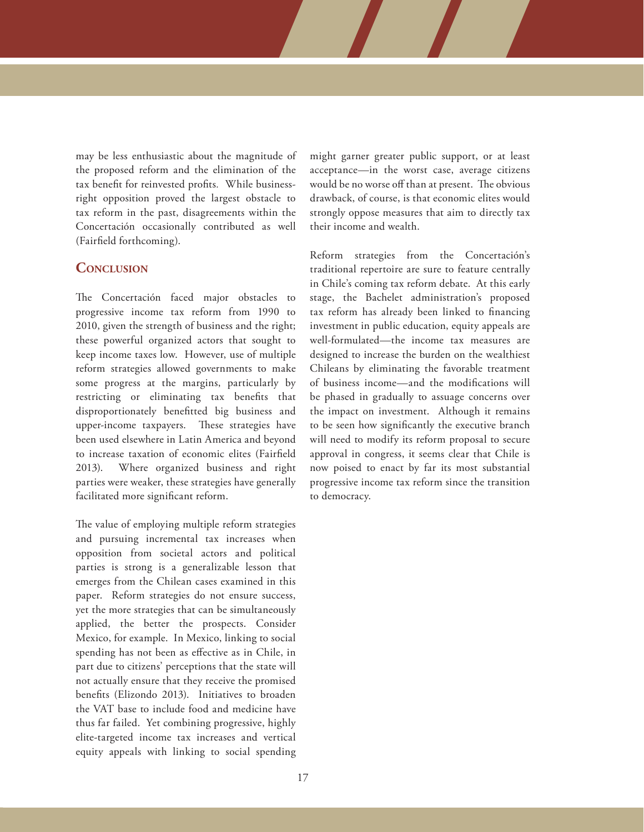may be less enthusiastic about the magnitude of the proposed reform and the elimination of the tax benefit for reinvested profits*.* While businessright opposition proved the largest obstacle to tax reform in the past, disagreements within the Concertación occasionally contributed as well (Fairfield forthcoming).

## **Conclusion**

The Concertación faced major obstacles to progressive income tax reform from 1990 to 2010, given the strength of business and the right; these powerful organized actors that sought to keep income taxes low. However, use of multiple reform strategies allowed governments to make some progress at the margins, particularly by restricting or eliminating tax benefits that disproportionately benefitted big business and upper-income taxpayers. These strategies have been used elsewhere in Latin America and beyond to increase taxation of economic elites (Fairfield 2013). Where organized business and right parties were weaker, these strategies have generally facilitated more significant reform.

The value of employing multiple reform strategies and pursuing incremental tax increases when opposition from societal actors and political parties is strong is a generalizable lesson that emerges from the Chilean cases examined in this paper. Reform strategies do not ensure success, yet the more strategies that can be simultaneously applied, the better the prospects. Consider Mexico, for example. In Mexico, linking to social spending has not been as effective as in Chile, in part due to citizens' perceptions that the state will not actually ensure that they receive the promised benefits (Elizondo 2013). Initiatives to broaden the VAT base to include food and medicine have thus far failed. Yet combining progressive, highly elite-targeted income tax increases and vertical equity appeals with linking to social spending

might garner greater public support, or at least acceptance—in the worst case, average citizens would be no worse off than at present. The obvious drawback, of course, is that economic elites would strongly oppose measures that aim to directly tax their income and wealth.

Reform strategies from the Concertación's traditional repertoire are sure to feature centrally in Chile's coming tax reform debate. At this early stage, the Bachelet administration's proposed tax reform has already been linked to financing investment in public education, equity appeals are well-formulated—the income tax measures are designed to increase the burden on the wealthiest Chileans by eliminating the favorable treatment of business income—and the modifications will be phased in gradually to assuage concerns over the impact on investment. Although it remains to be seen how significantly the executive branch will need to modify its reform proposal to secure approval in congress, it seems clear that Chile is now poised to enact by far its most substantial progressive income tax reform since the transition to democracy.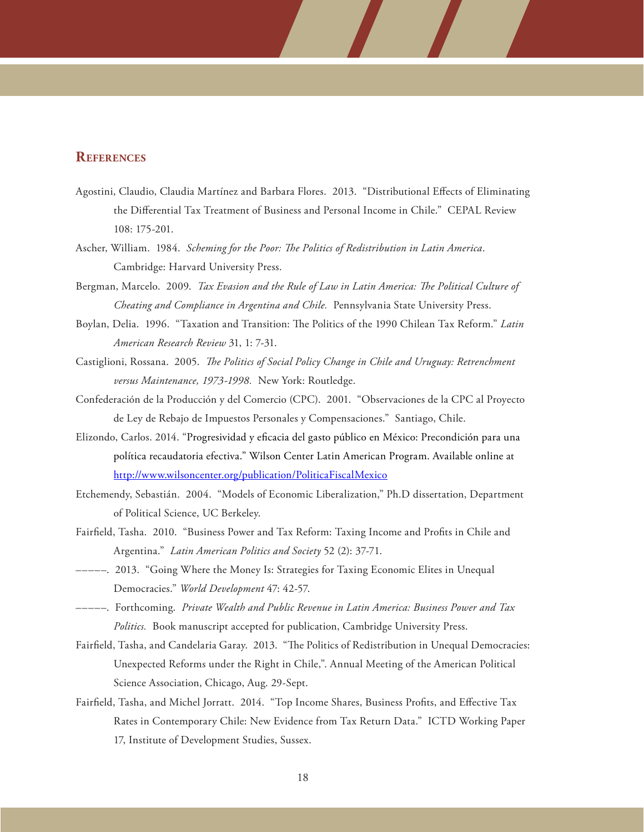## **References**

- Agostini, Claudio, Claudia Martínez and Barbara Flores. 2013. "Distributional Effects of Eliminating the Differential Tax Treatment of Business and Personal Income in Chile." CEPAL Review 108: 175-201.
- Ascher, William. 1984. *Scheming for the Poor: The Politics of Redistribution in Latin America*. Cambridge: Harvard University Press.
- Bergman, Marcelo. 2009. *Tax Evasion and the Rule of Law in Latin America: The Political Culture of Cheating and Compliance in Argentina and Chile.* Pennsylvania State University Press.
- Boylan, Delia. 1996. "Taxation and Transition: The Politics of the 1990 Chilean Tax Reform." *Latin American Research Review* 31, 1: 7-31.
- Castiglioni, Rossana.2005. *The Politics of Social Policy Change in Chile and Uruguay: Retrenchment versus Maintenance, 1973-1998.* New York: Routledge.
- Confederación de la Producción y del Comercio (CPC). 2001. "Observaciones de la CPC al Proyecto de Ley de Rebajo de Impuestos Personales y Compensaciones." Santiago, Chile.
- Elizondo, Carlos. 2014. "Progresividad y eficacia del gasto público en México: Precondición para una política recaudatoria efectiva." Wilson Center Latin American Program. Available online at <http://www.wilsoncenter.org/publication/PoliticaFiscalMexico>
- Etchemendy, Sebastián. 2004. "Models of Economic Liberalization," Ph.D dissertation, Department of Political Science, UC Berkeley.
- Fairfield, Tasha. 2010. "Business Power and Tax Reform: Taxing Income and Profits in Chile and Argentina." *Latin American Politics and Society* 52 (2): 37-71.
- –––––. 2013. "Going Where the Money Is: Strategies for Taxing Economic Elites in Unequal Democracies." *World Development* 47: 42-57.
- –––––. Forthcoming. *Private Wealth and Public Revenue in Latin America: Business Power and Tax Politics.* Book manuscript accepted for publication, Cambridge University Press.
- Fairfield, Tasha, and Candelaria Garay. 2013. "The Politics of Redistribution in Unequal Democracies: Unexpected Reforms under the Right in Chile,". Annual Meeting of the American Political Science Association, Chicago, Aug. 29-Sept.
- Fairfield, Tasha, and Michel Jorratt. 2014. "Top Income Shares, Business Profits, and Effective Tax Rates in Contemporary Chile: New Evidence from Tax Return Data." ICTD Working Paper 17, Institute of Development Studies, Sussex.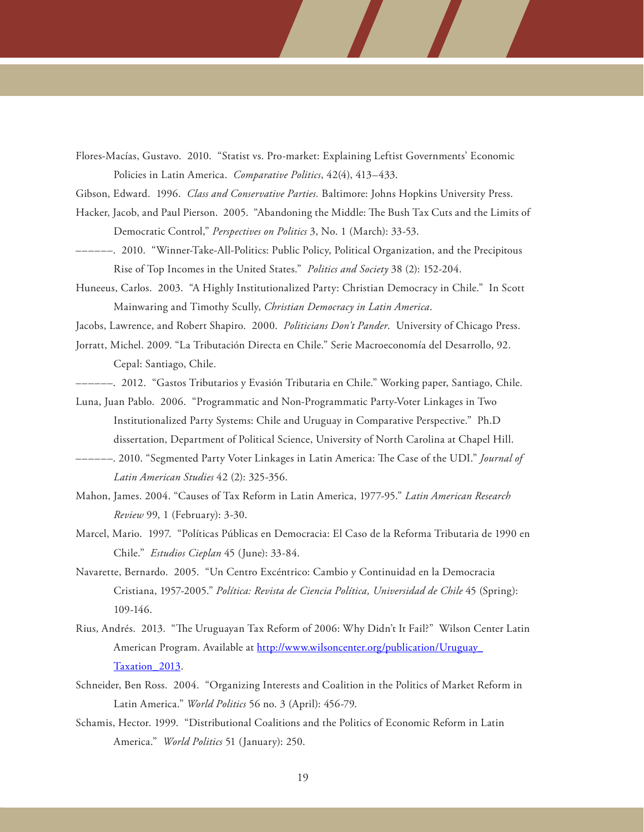- Flores-Macías, Gustavo. 2010. "Statist vs. Pro-market: Explaining Leftist Governments' Economic Policies in Latin America. *Comparative Politics*, 42(4), 413–433.
- Gibson, Edward. 1996. *Class and Conservative Parties.* Baltimore: Johns Hopkins University Press.
- Hacker, Jacob, and Paul Pierson. 2005. "Abandoning the Middle: The Bush Tax Cuts and the Limits of Democratic Control," *Perspectives on Politics* 3, No. 1 (March): 33-53.
- ––––––. 2010. "Winner-Take-All-Politics: Public Policy, Political Organization, and the Precipitous Rise of Top Incomes in the United States." *Politics and Society* 38 (2): 152-204.
- Huneeus, Carlos. 2003. "A Highly Institutionalized Party: Christian Democracy in Chile." In Scott Mainwaring and Timothy Scully, *Christian Democracy in Latin America*.
- Jacobs, Lawrence, and Robert Shapiro. 2000. *Politicians Don't Pander*. University of Chicago Press.
- Jorratt, Michel. 2009. "La Tributación Directa en Chile." Serie Macroeconomía del Desarrollo, 92. Cepal: Santiago, Chile.
- ––––––. 2012. "Gastos Tributarios y Evasión Tributaria en Chile." Working paper, Santiago, Chile.
- Luna, Juan Pablo. 2006. "Programmatic and Non-Programmatic Party-Voter Linkages in Two Institutionalized Party Systems: Chile and Uruguay in Comparative Perspective." Ph.D dissertation, Department of Political Science, University of North Carolina at Chapel Hill.
- ––––––. 2010. "Segmented Party Voter Linkages in Latin America: The Case of the UDI." *Journal of Latin American Studies* 42 (2): 325-356.
- Mahon, James. 2004. "Causes of Tax Reform in Latin America, 1977-95." *Latin American Research Review* 99, 1 (February): 3-30.
- Marcel, Mario. 1997. "Políticas Públicas en Democracia: El Caso de la Reforma Tributaria de 1990 en Chile." *Estudios Cieplan* 45 (June): 33-84.
- Navarette, Bernardo. 2005. "Un Centro Excéntrico: Cambio y Continuidad en la Democracia Cristiana, 1957-2005." *Política: Revista de Ciencia Política, Universidad de Chile* 45 (Spring): 109-146.
- Rius, Andrés. 2013. "The Uruguayan Tax Reform of 2006: Why Didn't It Fail?" Wilson Center Latin American Program. Available at [http://www.wilsoncenter.org/publication/Uruguay\\_](http://www.wilsoncenter.org/publication/Uruguay_Taxation_2013) [Taxation\\_2013.](http://www.wilsoncenter.org/publication/Uruguay_Taxation_2013)
- Schneider, Ben Ross. 2004. "Organizing Interests and Coalition in the Politics of Market Reform in Latin America." *World Politics* 56 no. 3 (April): 456-79.
- Schamis, Hector. 1999. "Distributional Coalitions and the Politics of Economic Reform in Latin America." *World Politics* 51 (January): 250.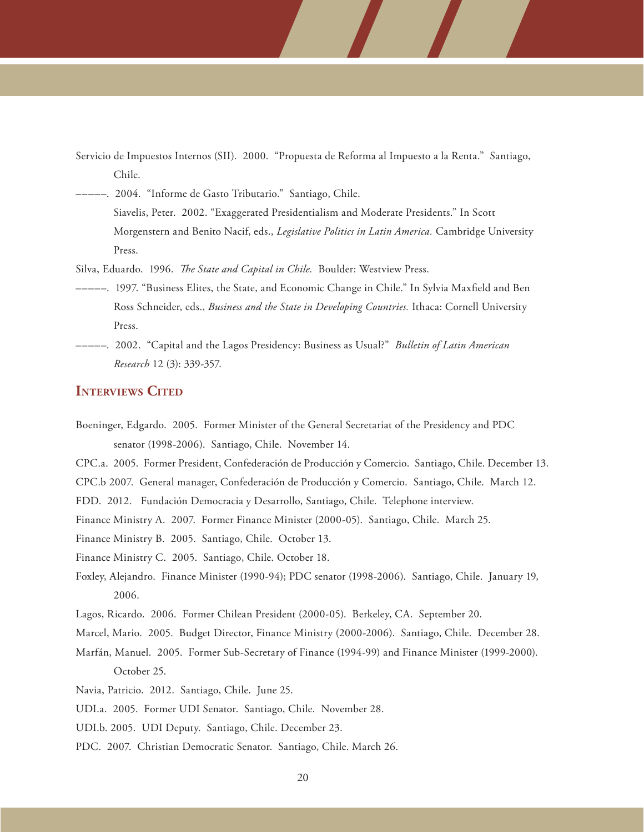- Servicio de Impuestos Internos (SII). 2000. "Propuesta de Reforma al Impuesto a la Renta." Santiago, Chile.
- –––––. 2004. "Informe de Gasto Tributario." Santiago, Chile. Siavelis, Peter. 2002. "Exaggerated Presidentialism and Moderate Presidents." In Scott Morgenstern and Benito Nacif, eds., *Legislative Politics in Latin America.* Cambridge University Press.
- Silva, Eduardo. 1996. *The State and Capital in Chile.* Boulder: Westview Press.
- –––––. 1997. "Business Elites, the State, and Economic Change in Chile." In Sylvia Maxfield and Ben Ross Schneider, eds., *Business and the State in Developing Countries.* Ithaca: Cornell University Press.
- –––––. 2002. "Capital and the Lagos Presidency: Business as Usual?" *Bulletin of Latin American Research* 12 (3): 339-357.

## **INTERVIEWS CITED**

- Boeninger, Edgardo. 2005. Former Minister of the General Secretariat of the Presidency and PDC senator (1998-2006). Santiago, Chile. November 14.
- CPC.a. 2005. Former President, Confederación de Producción y Comercio. Santiago, Chile. December 13.
- CPC.b 2007. General manager, Confederación de Producción y Comercio. Santiago, Chile. March 12.
- FDD. 2012. Fundación Democracia y Desarrollo, Santiago, Chile. Telephone interview.
- Finance Ministry A. 2007. Former Finance Minister (2000-05). Santiago, Chile. March 25.
- Finance Ministry B. 2005. Santiago, Chile. October 13.
- Finance Ministry C. 2005. Santiago, Chile. October 18.
- Foxley, Alejandro. Finance Minister (1990-94); PDC senator (1998-2006). Santiago, Chile. January 19, 2006.
- Lagos, Ricardo. 2006. Former Chilean President (2000-05). Berkeley, CA. September 20.
- Marcel, Mario. 2005. Budget Director, Finance Ministry (2000-2006). Santiago, Chile. December 28.
- Marfán, Manuel. 2005. Former Sub-Secretary of Finance (1994-99) and Finance Minister (1999-2000). October 25.
- Navia, Patricio. 2012. Santiago, Chile. June 25.
- UDI.a. 2005. Former UDI Senator. Santiago, Chile. November 28.
- UDI.b. 2005. UDI Deputy. Santiago, Chile. December 23.
- PDC. 2007. Christian Democratic Senator. Santiago, Chile. March 26.